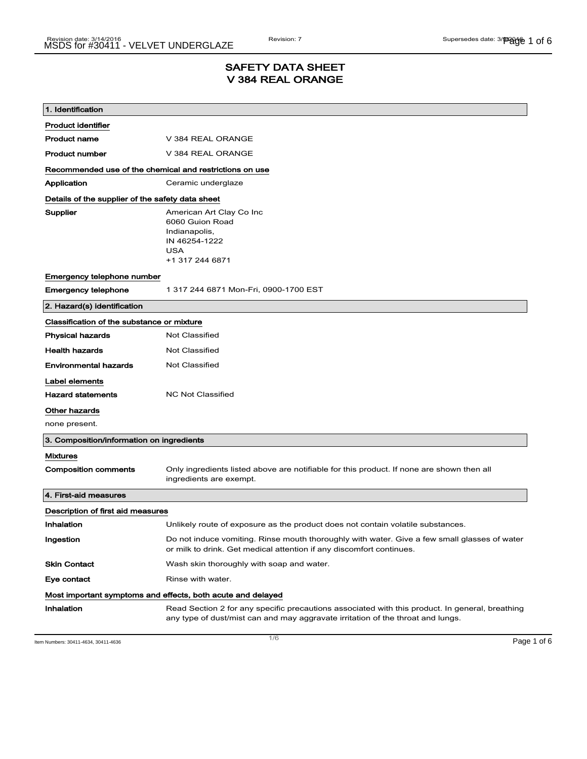## SAFETY DATA SHEET V 384 REAL ORANGE

| 1. Identification                                           |                                                                                                                                                                                    |  |
|-------------------------------------------------------------|------------------------------------------------------------------------------------------------------------------------------------------------------------------------------------|--|
| <b>Product identifier</b>                                   |                                                                                                                                                                                    |  |
| <b>Product name</b>                                         | V 384 REAL ORANGE                                                                                                                                                                  |  |
| <b>Product number</b>                                       | V 384 REAL ORANGE                                                                                                                                                                  |  |
| Recommended use of the chemical and restrictions on use     |                                                                                                                                                                                    |  |
| Application                                                 | Ceramic underglaze                                                                                                                                                                 |  |
| Details of the supplier of the safety data sheet            |                                                                                                                                                                                    |  |
| Supplier                                                    | American Art Clay Co Inc<br>6060 Guion Road<br>Indianapolis,<br>IN 46254-1222<br>USA<br>+1 317 244 6871                                                                            |  |
| Emergency telephone number                                  |                                                                                                                                                                                    |  |
| <b>Emergency telephone</b>                                  | 1 317 244 6871 Mon-Fri, 0900-1700 EST                                                                                                                                              |  |
| 2. Hazard(s) identification                                 |                                                                                                                                                                                    |  |
| Classification of the substance or mixture                  |                                                                                                                                                                                    |  |
| <b>Physical hazards</b>                                     | <b>Not Classified</b>                                                                                                                                                              |  |
| <b>Health hazards</b>                                       | Not Classified                                                                                                                                                                     |  |
| <b>Environmental hazards</b>                                | <b>Not Classified</b>                                                                                                                                                              |  |
| Label elements                                              |                                                                                                                                                                                    |  |
| <b>Hazard statements</b>                                    | <b>NC Not Classified</b>                                                                                                                                                           |  |
| Other hazards                                               |                                                                                                                                                                                    |  |
| none present.                                               |                                                                                                                                                                                    |  |
| 3. Composition/information on ingredients                   |                                                                                                                                                                                    |  |
| <b>Mixtures</b>                                             |                                                                                                                                                                                    |  |
| <b>Composition comments</b>                                 | Only ingredients listed above are notifiable for this product. If none are shown then all<br>ingredients are exempt.                                                               |  |
| 4. First-aid measures                                       |                                                                                                                                                                                    |  |
| Description of first aid measures                           |                                                                                                                                                                                    |  |
| Inhalation                                                  | Unlikely route of exposure as the product does not contain volatile substances.                                                                                                    |  |
| Ingestion                                                   | Do not induce vomiting. Rinse mouth thoroughly with water. Give a few small glasses of water<br>or milk to drink. Get medical attention if any discomfort continues.               |  |
| <b>Skin Contact</b>                                         | Wash skin thoroughly with soap and water.                                                                                                                                          |  |
| Eye contact                                                 | Rinse with water.                                                                                                                                                                  |  |
| Most important symptoms and effects, both acute and delayed |                                                                                                                                                                                    |  |
| Inhalation                                                  | Read Section 2 for any specific precautions associated with this product. In general, breathing<br>any type of dust/mist can and may aggravate irritation of the throat and lungs. |  |

Item Numbers: 30411-4634, 30411-4636 **Page 1 of 6**  $\overline{1/6}$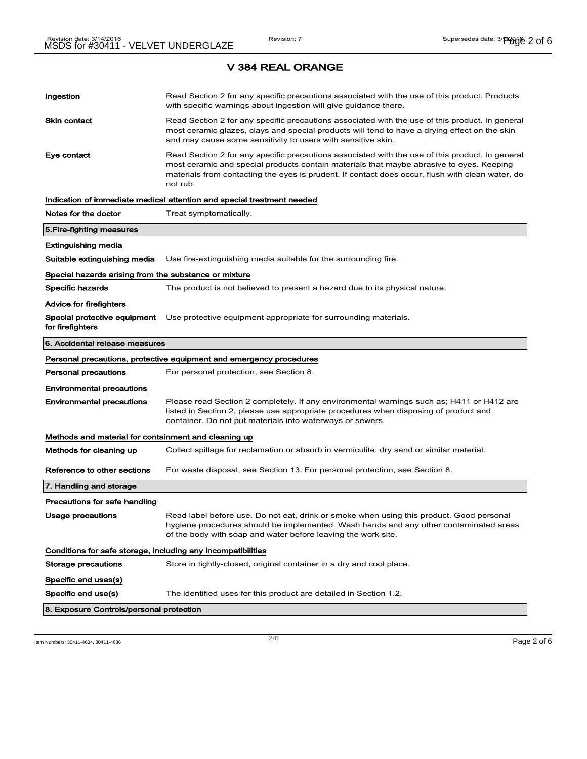| Ingestion                                                    | Read Section 2 for any specific precautions associated with the use of this product. Products<br>with specific warnings about ingestion will give guidance there.                                                                                                                                           |  |
|--------------------------------------------------------------|-------------------------------------------------------------------------------------------------------------------------------------------------------------------------------------------------------------------------------------------------------------------------------------------------------------|--|
| Skin contact                                                 | Read Section 2 for any specific precautions associated with the use of this product. In general<br>most ceramic glazes, clays and special products will tend to have a drying effect on the skin<br>and may cause some sensitivity to users with sensitive skin.                                            |  |
| Eye contact                                                  | Read Section 2 for any specific precautions associated with the use of this product. In general<br>most ceramic and special products contain materials that maybe abrasive to eyes. Keeping<br>materials from contacting the eyes is prudent. If contact does occur, flush with clean water, do<br>not rub. |  |
|                                                              | Indication of immediate medical attention and special treatment needed                                                                                                                                                                                                                                      |  |
| Notes for the doctor                                         | Treat symptomatically.                                                                                                                                                                                                                                                                                      |  |
| 5.Fire-fighting measures                                     |                                                                                                                                                                                                                                                                                                             |  |
| Extinguishing media                                          |                                                                                                                                                                                                                                                                                                             |  |
| Suitable extinguishing media                                 | Use fire-extinguishing media suitable for the surrounding fire.                                                                                                                                                                                                                                             |  |
| Special hazards arising from the substance or mixture        |                                                                                                                                                                                                                                                                                                             |  |
| Specific hazards                                             | The product is not believed to present a hazard due to its physical nature.                                                                                                                                                                                                                                 |  |
| Advice for firefighters                                      |                                                                                                                                                                                                                                                                                                             |  |
| Special protective equipment<br>for firefighters             | Use protective equipment appropriate for surrounding materials.                                                                                                                                                                                                                                             |  |
| 6. Accidental release measures                               |                                                                                                                                                                                                                                                                                                             |  |
|                                                              | Personal precautions, protective equipment and emergency procedures                                                                                                                                                                                                                                         |  |
| Personal precautions                                         | For personal protection, see Section 8.                                                                                                                                                                                                                                                                     |  |
| <b>Environmental precautions</b>                             |                                                                                                                                                                                                                                                                                                             |  |
| <b>Environmental precautions</b>                             | Please read Section 2 completely. If any environmental warnings such as; H411 or H412 are<br>listed in Section 2, please use appropriate procedures when disposing of product and<br>container. Do not put materials into waterways or sewers.                                                              |  |
| Methods and material for containment and cleaning up         |                                                                                                                                                                                                                                                                                                             |  |
| Methods for cleaning up                                      | Collect spillage for reclamation or absorb in vermiculite, dry sand or similar material.                                                                                                                                                                                                                    |  |
| Reference to other sections                                  | For waste disposal, see Section 13. For personal protection, see Section 8.                                                                                                                                                                                                                                 |  |
| 7. Handling and storage                                      |                                                                                                                                                                                                                                                                                                             |  |
| Precautions for safe handling                                |                                                                                                                                                                                                                                                                                                             |  |
| Usage precautions                                            | Read label before use. Do not eat, drink or smoke when using this product. Good personal<br>hygiene procedures should be implemented. Wash hands and any other contaminated areas<br>of the body with soap and water before leaving the work site.                                                          |  |
| Conditions for safe storage, including any incompatibilities |                                                                                                                                                                                                                                                                                                             |  |
| Storage precautions                                          | Store in tightly-closed, original container in a dry and cool place.                                                                                                                                                                                                                                        |  |
| Specific end uses(s)                                         |                                                                                                                                                                                                                                                                                                             |  |
| Specific end use(s)                                          | The identified uses for this product are detailed in Section 1.2.                                                                                                                                                                                                                                           |  |
| 8. Exposure Controls/personal protection                     |                                                                                                                                                                                                                                                                                                             |  |

Item Numbers: 30411-4634, 30411-4636  $P$ age 2 of 6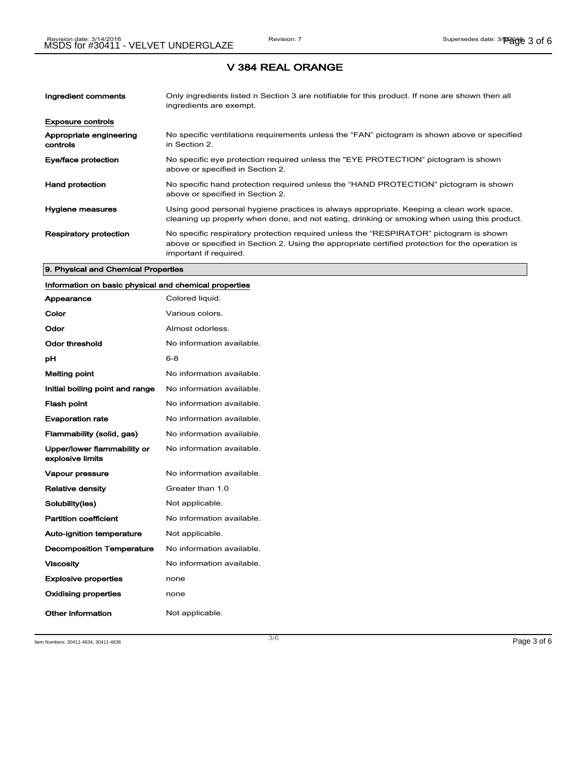| Ingredient comments                 | Only ingredients listed n Section 3 are notifiable for this product. If none are shown then all<br>ingredients are exempt.                                                                                           |
|-------------------------------------|----------------------------------------------------------------------------------------------------------------------------------------------------------------------------------------------------------------------|
| <b>Exposure controls</b>            |                                                                                                                                                                                                                      |
| Appropriate engineering<br>controls | No specific ventilations requirements unless the "FAN" pictogram is shown above or specified<br>in Section 2.                                                                                                        |
| Eye/face protection                 | No specific eye protection required unless the "EYE PROTECTION" pictogram is shown<br>above or specified in Section 2.                                                                                               |
| <b>Hand protection</b>              | No specific hand protection required unless the "HAND PROTECTION" pictogram is shown<br>above or specified in Section 2.                                                                                             |
| Hygiene measures                    | Using good personal hygiene practices is always appropriate. Keeping a clean work space,<br>cleaning up properly when done, and not eating, drinking or smoking when using this product.                             |
| <b>Respiratory protection</b>       | No specific respiratory protection required unless the "RESPIRATOR" pictogram is shown<br>above or specified in Section 2. Using the appropriate certified protection for the operation is<br>important if required. |

### 9. Physical and Chemical Properties

## Information on basic physical and chemical properties

| Appearance                                      | Colored liquid.           |
|-------------------------------------------------|---------------------------|
| Color                                           | Various colors.           |
| Odor                                            | Almost odorless.          |
| Odor threshold                                  | No information available. |
| рH                                              | $6 - 8$                   |
| <b>Melting point</b>                            | No information available. |
| Initial boiling point and range                 | No information available. |
| <b>Flash point</b>                              | No information available. |
| <b>Evaporation rate</b>                         | No information available. |
| Flammability (solid, gas)                       | No information available. |
| Upper/lower flammability or<br>explosive limits | No information available. |
| <b>Vapour pressure</b>                          | No information available. |
| <b>Relative density</b>                         | Greater than 1.0          |
| Solubility(ies)                                 | Not applicable.           |
| <b>Partition coefficient</b>                    | No information available. |
| <b>Auto-ignition temperature</b>                | Not applicable.           |
| <b>Decomposition Temperature</b>                | No information available. |
| <b>Viscosity</b>                                | No information available. |
| <b>Explosive properties</b>                     | none                      |
| <b>Oxidising properties</b>                     | none                      |
| Other information                               | Not applicable.           |

Item Numbers: 30411-4634, 30411-4636 Page 3 of 6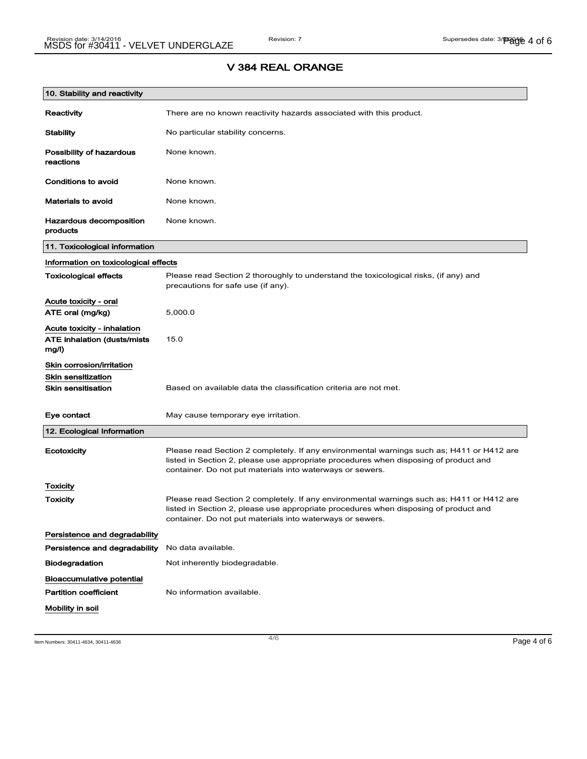# 10. Stability and reactivity Reactivity There are no known reactivity hazards associated with this product. Stability Mo particular stability concerns. Possibility of hazardous reactions None known. Conditions to avoid None known. Materials to avoid None known. Hazardous decomposition products None known. 11. Toxicological information Information on toxicological effects Toxicological effects Please read Section 2 thoroughly to understand the toxicological risks, (if any) and precautions for safe use (if any). Acute toxicity - oral ATE oral (mg/kg) 5,000.0 Acute toxicity - inhalation ATE inhalation (dusts/mists mg/l) 15.0 Skin corrosion/irritation Skin sensitization Skin sensitisation Based on available data the classification criteria are not met. Eye contact May cause temporary eye irritation. 12. Ecological Information Ecotoxicity Please read Section 2 completely. If any environmental warnings such as; H411 or H412 are listed in Section 2, please use appropriate procedures when disposing of product and container. Do not put materials into waterways or sewers. **Toxicity** Toxicity **Please read Section 2 completely.** If any environmental warnings such as; H411 or H412 are listed in Section 2, please use appropriate procedures when disposing of product and container. Do not put materials into waterways or sewers. Persistence and degradability Persistence and degradability No data available. Biodegradation Not inherently biodegradable. Bioaccumulative potential Partition coefficient No information available. Mobility in soil

## V 384 REAL ORANGE

Item Numbers: 30411-4634, 30411-4636 Page 4 of 6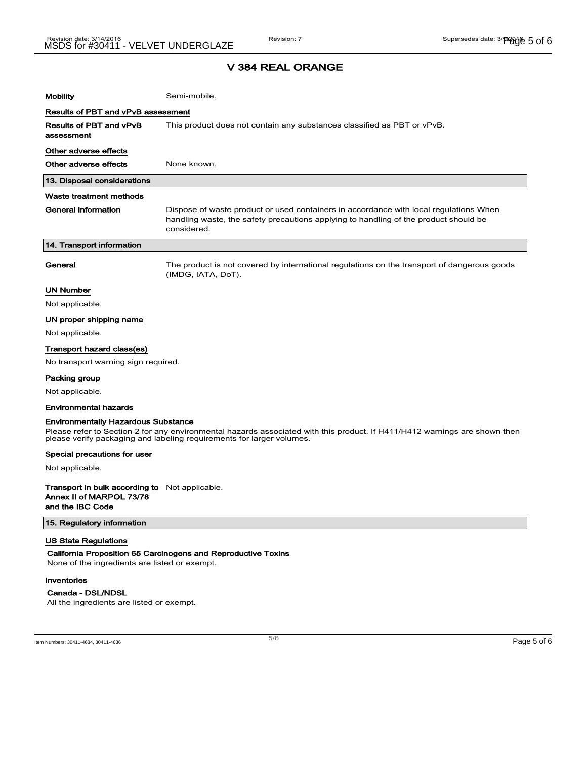| <b>Mobility</b>                       | Semi-mobile.                                                                                                                                                                                 |  |
|---------------------------------------|----------------------------------------------------------------------------------------------------------------------------------------------------------------------------------------------|--|
| Results of PBT and vPvB assessment    |                                                                                                                                                                                              |  |
| Results of PBT and vPvB<br>assessment | This product does not contain any substances classified as PBT or vPvB.                                                                                                                      |  |
| Other adverse effects                 |                                                                                                                                                                                              |  |
| Other adverse effects                 | None known.                                                                                                                                                                                  |  |
| 13. Disposal considerations           |                                                                                                                                                                                              |  |
| Waste treatment methods               |                                                                                                                                                                                              |  |
| <b>General information</b>            | Dispose of waste product or used containers in accordance with local regulations When<br>handling waste, the safety precautions applying to handling of the product should be<br>considered. |  |
| 14. Transport information             |                                                                                                                                                                                              |  |
| General                               | The product is not covered by international regulations on the transport of dangerous goods<br>(IMDG, IATA, DoT).                                                                            |  |
| <b>UN Number</b>                      |                                                                                                                                                                                              |  |
| Not applicable.                       |                                                                                                                                                                                              |  |
| UN proper shipping name               |                                                                                                                                                                                              |  |
| Not applicable.                       |                                                                                                                                                                                              |  |
| <b>Transport hazard class(es)</b>     |                                                                                                                                                                                              |  |
| No transport warning sign required.   |                                                                                                                                                                                              |  |
| Packing group                         |                                                                                                                                                                                              |  |
| Not applicable.                       |                                                                                                                                                                                              |  |
| <b>Environmental hazards</b>          |                                                                                                                                                                                              |  |

#### Environmentally Hazardous Substance

Please refer to Section 2 for any environmental hazards associated with this product. If H411/H412 warnings are shown then please verify packaging and labeling requirements for larger volumes.

#### Special precautions for user

Not applicable.

Transport in bulk according to Not applicable. Annex II of MARPOL 73/78 and the IBC Code

#### 15. Regulatory information

#### US State Regulations

California Proposition 65 Carcinogens and Reproductive Toxins

None of the ingredients are listed or exempt.

#### Inventories

#### Canada - DSL/NDSL

All the ingredients are listed or exempt.

Item Numbers: 30411-4634, 30411-4636 Page 5 of 6